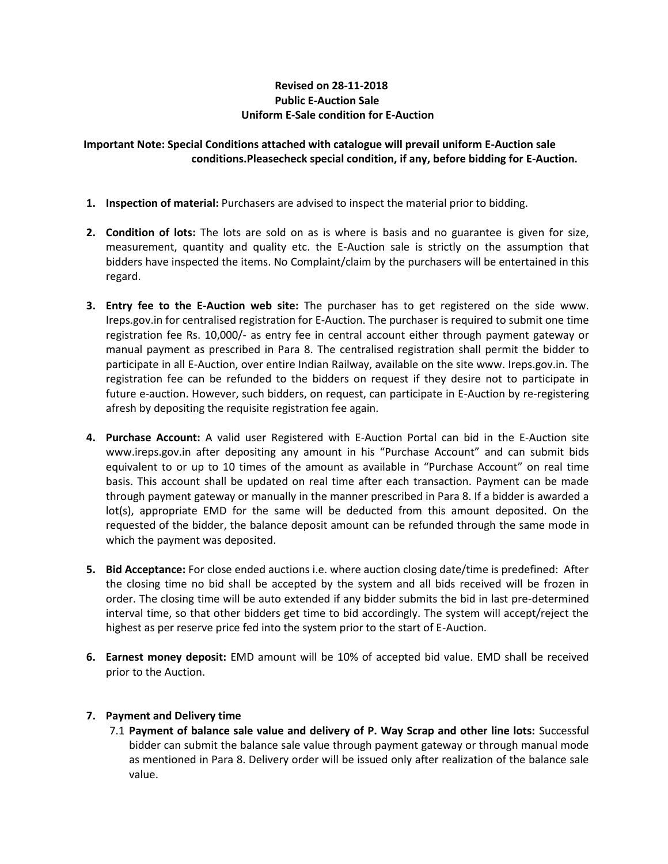## **Revised on 28-11-2018 Public E-Auction Sale Uniform E-Sale condition for E-Auction**

## **Important Note: Special Conditions attached with catalogue will prevail uniform E-Auction sale conditions.Pleasecheck special condition, if any, before bidding for E-Auction.**

- **1. Inspection of material:** Purchasers are advised to inspect the material prior to bidding.
- **2. Condition of lots:** The lots are sold on as is where is basis and no guarantee is given for size, measurement, quantity and quality etc. the E-Auction sale is strictly on the assumption that bidders have inspected the items. No Complaint/claim by the purchasers will be entertained in this regard.
- **3. Entry fee to the E-Auction web site:** The purchaser has to get registered on the side www. Ireps.gov.in for centralised registration for E-Auction. The purchaser is required to submit one time registration fee Rs. 10,000/- as entry fee in central account either through payment gateway or manual payment as prescribed in Para 8. The centralised registration shall permit the bidder to participate in all E-Auction, over entire Indian Railway, available on the site www. Ireps.gov.in. The registration fee can be refunded to the bidders on request if they desire not to participate in future e-auction. However, such bidders, on request, can participate in E-Auction by re-registering afresh by depositing the requisite registration fee again.
- **4. Purchase Account:** A valid user Registered with E-Auction Portal can bid in the E-Auction site www.ireps.gov.in after depositing any amount in his "Purchase Account" and can submit bids equivalent to or up to 10 times of the amount as available in "Purchase Account" on real time basis. This account shall be updated on real time after each transaction. Payment can be made through payment gateway or manually in the manner prescribed in Para 8. If a bidder is awarded a lot(s), appropriate EMD for the same will be deducted from this amount deposited. On the requested of the bidder, the balance deposit amount can be refunded through the same mode in which the payment was deposited.
- **5. Bid Acceptance:** For close ended auctions i.e. where auction closing date/time is predefined: After the closing time no bid shall be accepted by the system and all bids received will be frozen in order. The closing time will be auto extended if any bidder submits the bid in last pre-determined interval time, so that other bidders get time to bid accordingly. The system will accept/reject the highest as per reserve price fed into the system prior to the start of E-Auction.
- **6. Earnest money deposit:** EMD amount will be 10% of accepted bid value. EMD shall be received prior to the Auction.

## **7. Payment and Delivery time**

7.1 **Payment of balance sale value and delivery of P. Way Scrap and other line lots:** Successful bidder can submit the balance sale value through payment gateway or through manual mode as mentioned in Para 8. Delivery order will be issued only after realization of the balance sale value.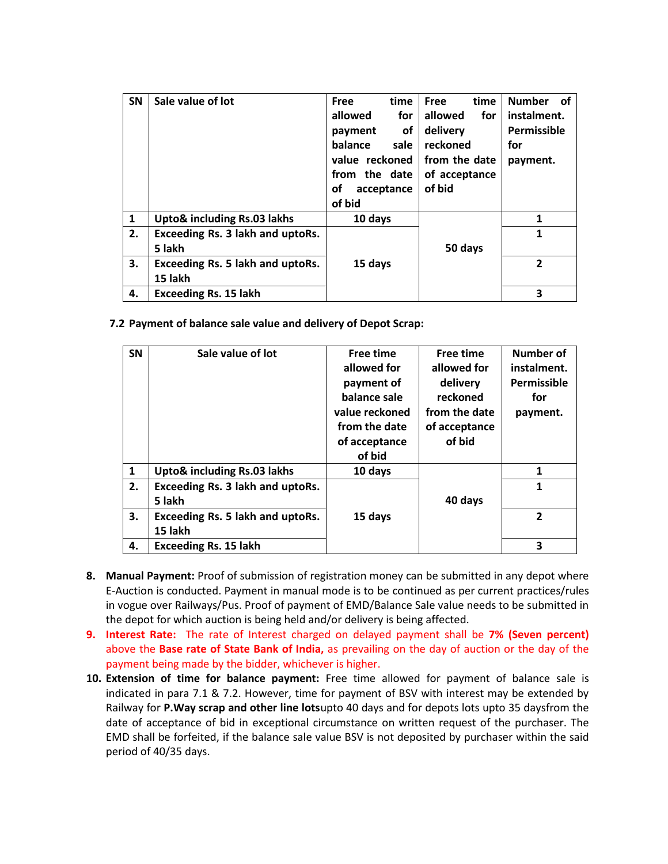| <b>SN</b>    | Sale value of lot                | time<br><b>Free</b> | time<br>Free   | <b>Number</b><br>of |
|--------------|----------------------------------|---------------------|----------------|---------------------|
|              |                                  | allowed<br>for      | allowed<br>for | instalment.         |
|              |                                  | оf<br>payment       | delivery       | Permissible         |
|              |                                  | balance<br>sale     | reckoned       | for                 |
|              |                                  | value reckoned      | from the date  | payment.            |
|              |                                  | from the date       | of acceptance  |                     |
|              |                                  | οf<br>acceptance    | of bid         |                     |
|              |                                  | of bid              |                |                     |
| $\mathbf{1}$ | Upto& including Rs.03 lakhs      | 10 days             |                | 1                   |
| 2.           | Exceeding Rs. 3 lakh and uptoRs. |                     |                | 1                   |
|              | 5 lakh                           |                     | 50 days        |                     |
| 3.           | Exceeding Rs. 5 lakh and uptoRs. | 15 days             |                | $\overline{2}$      |
|              | 15 lakh                          |                     |                |                     |
| 4.           | <b>Exceeding Rs. 15 lakh</b>     |                     |                | 3                   |

**7.2 Payment of balance sale value and delivery of Depot Scrap:** 

| <b>SN</b>    | Sale value of lot                | Free time      | Free time     | <b>Number of</b> |
|--------------|----------------------------------|----------------|---------------|------------------|
|              |                                  | allowed for    | allowed for   | instalment.      |
|              |                                  | payment of     | delivery      | Permissible      |
|              |                                  | balance sale   | reckoned      | for              |
|              |                                  | value reckoned | from the date | payment.         |
|              |                                  | from the date  | of acceptance |                  |
|              |                                  | of acceptance  | of bid        |                  |
|              |                                  | of bid         |               |                  |
| $\mathbf{1}$ | Upto& including Rs.03 lakhs      | 10 days        |               | 1                |
| 2.           | Exceeding Rs. 3 lakh and uptoRs. |                |               | 1                |
|              | 5 lakh                           |                | 40 days       |                  |
| 3.           | Exceeding Rs. 5 lakh and uptoRs. | 15 days        |               | $\overline{2}$   |
|              | 15 lakh                          |                |               |                  |
| 4.           | <b>Exceeding Rs. 15 lakh</b>     |                |               | 3                |

- **8. Manual Payment:** Proof of submission of registration money can be submitted in any depot where E-Auction is conducted. Payment in manual mode is to be continued as per current practices/rules in vogue over Railways/Pus. Proof of payment of EMD/Balance Sale value needs to be submitted in the depot for which auction is being held and/or delivery is being affected.
- **9. Interest Rate:** The rate of Interest charged on delayed payment shall be **7% (Seven percent)** above the **Base rate of State Bank of India,** as prevailing on the day of auction or the day of the payment being made by the bidder, whichever is higher.
- **10. Extension of time for balance payment:** Free time allowed for payment of balance sale is indicated in para 7.1 & 7.2. However, time for payment of BSV with interest may be extended by Railway for **P.Way scrap and other line lots**upto 40 days and for depots lots upto 35 daysfrom the date of acceptance of bid in exceptional circumstance on written request of the purchaser. The EMD shall be forfeited, if the balance sale value BSV is not deposited by purchaser within the said period of 40/35 days.